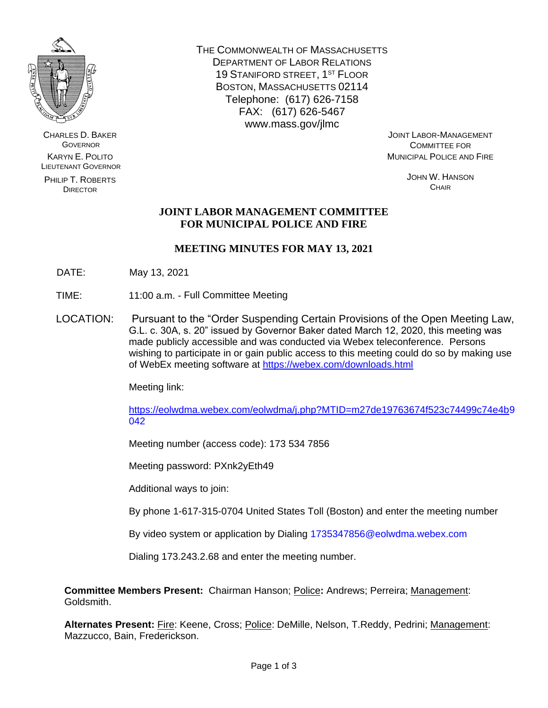

CHARLES D. BAKER **GOVERNOR** KARYN E. POLITO LIEUTENANT GOVERNOR

PHILIP T. ROBERTS **DIRECTOR** 

THE COMMONWEALTH OF MASSACHUSETTS DEPARTMENT OF LABOR RELATIONS 19 STANIFORD STREET, 1ST FLOOR BOSTON, MASSACHUSETTS 02114 Telephone: (617) 626-7158 FAX: (617) 626-5467 www.mass.gov/jlmc

JOINT LABOR-MANAGEMENT COMMITTEE FOR MUNICIPAL POLICE AND FIRE

> JOHN W. HANSON **CHAIR**

# **JOINT LABOR MANAGEMENT COMMITTEE FOR MUNICIPAL POLICE AND FIRE**

# **MEETING MINUTES FOR MAY 13, 2021**

- DATE: May 13, 2021
- TIME: 11:00 a.m. Full Committee Meeting
- LOCATION: Pursuant to the "Order Suspending Certain Provisions of the Open Meeting Law, G.L. c. 30A, s. 20" issued by Governor Baker dated March 12, 2020, this meeting was made publicly accessible and was conducted via Webex teleconference. Persons wishing to participate in or gain public access to this meeting could do so by making use of WebEx meeting software at<https://webex.com/downloads.html>

Meeting link:

[https://eolwdma.webex.com/eolwdma/j.php?MTID=m27de19763674f523c74499c74e4b9](https://eolwdma.webex.com/eolwdma/j.php?MTID=m27de19763674f523c74499c74e4b) 042

Meeting number (access code): 173 534 7856

Meeting password: PXnk2yEth49

Additional ways to join:

By phone 1-617-315-0704 United States Toll (Boston) and enter the meeting number

By video system or application by Dialing 1735347856@eolwdma.webex.com

Dialing 173.243.2.68 and enter the meeting number.

**Committee Members Present:** Chairman Hanson; Police**:** Andrews; Perreira; Management: Goldsmith.

**Alternates Present:** Fire: Keene, Cross; Police: DeMille, Nelson, T.Reddy, Pedrini; Management: Mazzucco, Bain, Frederickson.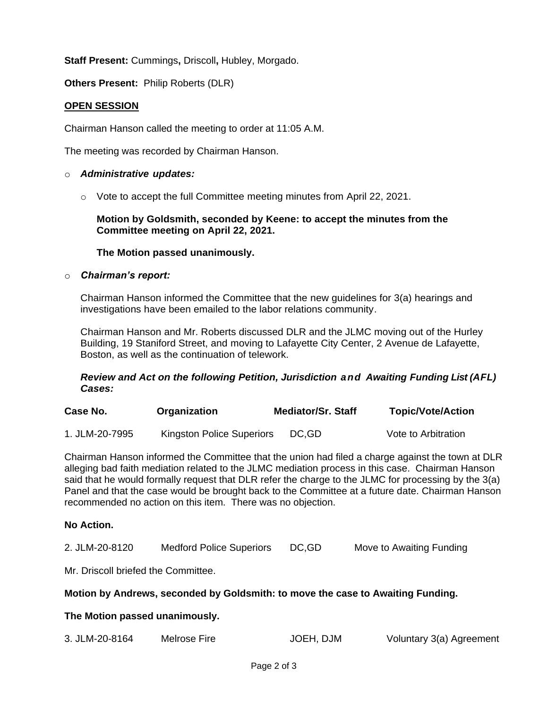**Staff Present:** Cummings**,** Driscoll**,** Hubley, Morgado.

**Others Present:** Philip Roberts (DLR)

## **OPEN SESSION**

Chairman Hanson called the meeting to order at 11:05 A.M.

The meeting was recorded by Chairman Hanson.

#### o *Administrative updates:*

o Vote to accept the full Committee meeting minutes from April 22, 2021.

**Motion by Goldsmith, seconded by Keene: to accept the minutes from the Committee meeting on April 22, 2021.**

## **The Motion passed unanimously.**

#### o *Chairman's report:*

Chairman Hanson informed the Committee that the new guidelines for 3(a) hearings and investigations have been emailed to the labor relations community.

Chairman Hanson and Mr. Roberts discussed DLR and the JLMC moving out of the Hurley Building, 19 Staniford Street, and moving to Lafayette City Center, 2 Avenue de Lafayette, Boston, as well as the continuation of telework.

## *Review and Act on the following Petition, Jurisdiction and Awaiting Funding List (AFL) Cases:*

| Case No.       | Organization              | <b>Mediator/Sr. Staff</b> | <b>Topic/Vote/Action</b> |
|----------------|---------------------------|---------------------------|--------------------------|
| 1. JLM-20-7995 | Kingston Police Superiors | DC.GD                     | Vote to Arbitration      |

Chairman Hanson informed the Committee that the union had filed a charge against the town at DLR alleging bad faith mediation related to the JLMC mediation process in this case. Chairman Hanson said that he would formally request that DLR refer the charge to the JLMC for processing by the 3(a) Panel and that the case would be brought back to the Committee at a future date. Chairman Hanson recommended no action on this item. There was no objection.

#### **No Action.**

Mr. Driscoll briefed the Committee.

#### **Motion by Andrews, seconded by Goldsmith: to move the case to Awaiting Funding.**

#### **The Motion passed unanimously.**

| 3. JLM-20-8164 | Melrose Fire | JOEH, DJM | Voluntary 3(a) Agreement |
|----------------|--------------|-----------|--------------------------|
|----------------|--------------|-----------|--------------------------|